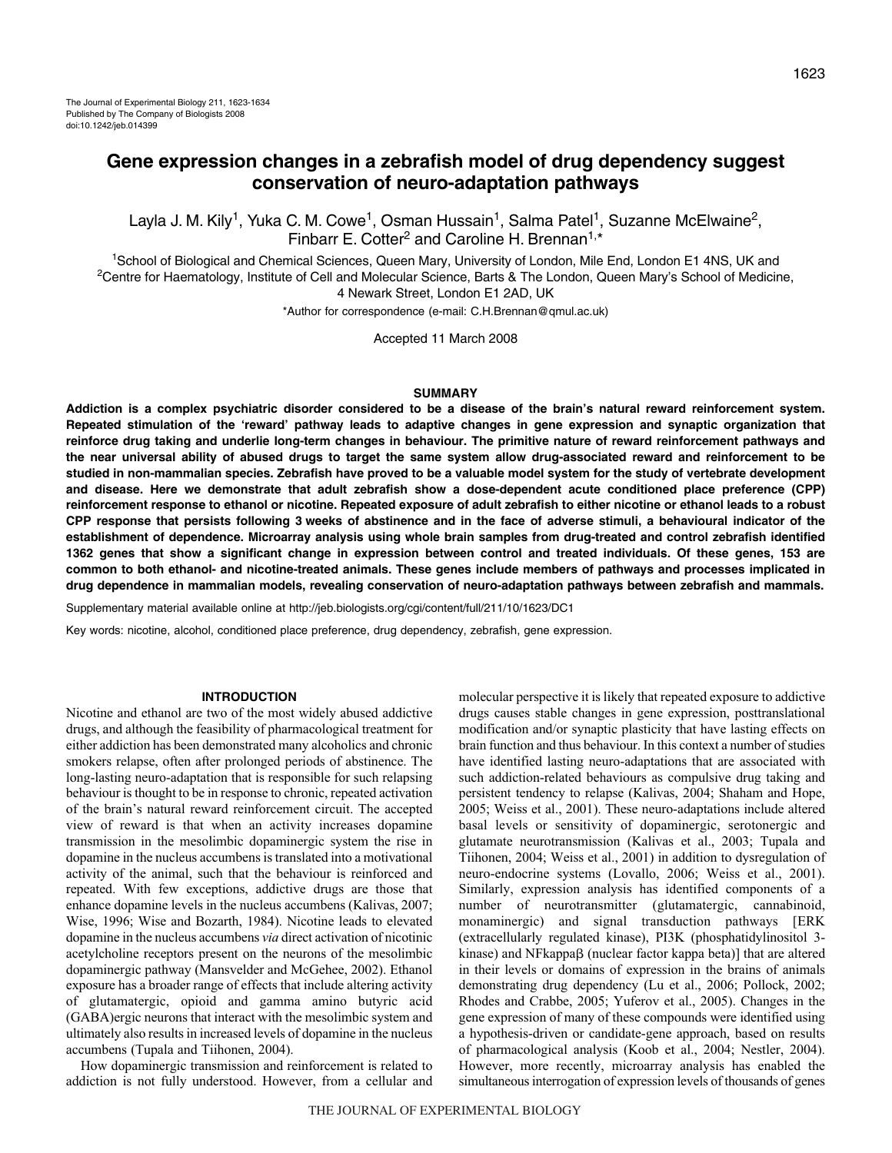# **Gene expression changes in a zebrafish model of drug dependency suggest conservation of neuro-adaptation pathways**

Layla J. M. Kily<sup>1</sup>, Yuka C. M. Cowe<sup>1</sup>, Osman Hussain<sup>1</sup>, Salma Patel<sup>1</sup>, Suzanne McElwaine<sup>2</sup>, Finbarr E. Cotter<sup>2</sup> and Caroline H. Brennan<sup>1,\*</sup>

1School of Biological and Chemical Sciences, Queen Mary, University of London, Mile End, London E1 4NS, UK and <sup>2</sup>Centre for Haematology, Institute of Cell and Molecular Science, Barts & The London, Queen Mary's School of Medicine, 4 Newark Street, London E1 2AD, UK

\*Author for correspondence (e-mail: C.H.Brennan@qmul.ac.uk)

Accepted 11 March 2008

#### **SUMMARY**

**Addiction is a complex psychiatric disorder considered to be a disease of the brain's natural reward reinforcement system. Repeated stimulation of the 'reward' pathway leads to adaptive changes in gene expression and synaptic organization that reinforce drug taking and underlie long-term changes in behaviour. The primitive nature of reward reinforcement pathways and the near universal ability of abused drugs to target the same system allow drug-associated reward and reinforcement to be studied in non-mammalian species. Zebrafish have proved to be a valuable model system for the study of vertebrate development and disease. Here we demonstrate that adult zebrafish show a dose-dependent acute conditioned place preference (CPP) reinforcement response to ethanol or nicotine. Repeated exposure of adult zebrafish to either nicotine or ethanol leads to a robust CPP response that persists following 3·weeks of abstinence and in the face of adverse stimuli, a behavioural indicator of the establishment of dependence. Microarray analysis using whole brain samples from drug-treated and control zebrafish identified 1362 genes that show a significant change in expression between control and treated individuals. Of these genes, 153 are common to both ethanol- and nicotine-treated animals. These genes include members of pathways and processes implicated in drug dependence in mammalian models, revealing conservation of neuro-adaptation pathways between zebrafish and mammals.**

Supplementary material available online at http://jeb.biologists.org/cgi/content/full/211/10/1623/DC1

Key words: nicotine, alcohol, conditioned place preference, drug dependency, zebrafish, gene expression.

# **INTRODUCTION**

Nicotine and ethanol are two of the most widely abused addictive drugs, and although the feasibility of pharmacological treatment for either addiction has been demonstrated many alcoholics and chronic smokers relapse, often after prolonged periods of abstinence. The long-lasting neuro-adaptation that is responsible for such relapsing behaviour is thought to be in response to chronic, repeated activation of the brain's natural reward reinforcement circuit. The accepted view of reward is that when an activity increases dopamine transmission in the mesolimbic dopaminergic system the rise in dopamine in the nucleus accumbens is translated into a motivational activity of the animal, such that the behaviour is reinforced and repeated. With few exceptions, addictive drugs are those that enhance dopamine levels in the nucleus accumbens (Kalivas, 2007; Wise, 1996; Wise and Bozarth, 1984). Nicotine leads to elevated dopamine in the nucleus accumbens *via* direct activation of nicotinic acetylcholine receptors present on the neurons of the mesolimbic dopaminergic pathway (Mansvelder and McGehee, 2002). Ethanol exposure has a broader range of effects that include altering activity of glutamatergic, opioid and gamma amino butyric acid (GABA)ergic neurons that interact with the mesolimbic system and ultimately also results in increased levels of dopamine in the nucleus accumbens (Tupala and Tiihonen, 2004).

How dopaminergic transmission and reinforcement is related to addiction is not fully understood. However, from a cellular and molecular perspective it is likely that repeated exposure to addictive drugs causes stable changes in gene expression, posttranslational modification and/or synaptic plasticity that have lasting effects on brain function and thus behaviour. In this context a number of studies have identified lasting neuro-adaptations that are associated with such addiction-related behaviours as compulsive drug taking and persistent tendency to relapse (Kalivas, 2004; Shaham and Hope, 2005; Weiss et al., 2001). These neuro-adaptations include altered basal levels or sensitivity of dopaminergic, serotonergic and glutamate neurotransmission (Kalivas et al., 2003; Tupala and Tiihonen, 2004; Weiss et al., 2001) in addition to dysregulation of neuro-endocrine systems (Lovallo, 2006; Weiss et al., 2001). Similarly, expression analysis has identified components of a number of neurotransmitter (glutamatergic, cannabinoid, monaminergic) and signal transduction pathways [ERK (extracellularly regulated kinase), PI3K (phosphatidylinositol 3 kinase) and NFkappaß (nuclear factor kappa beta)] that are altered in their levels or domains of expression in the brains of animals demonstrating drug dependency (Lu et al., 2006; Pollock, 2002; Rhodes and Crabbe, 2005; Yuferov et al., 2005). Changes in the gene expression of many of these compounds were identified using a hypothesis-driven or candidate-gene approach, based on results of pharmacological analysis (Koob et al., 2004; Nestler, 2004). However, more recently, microarray analysis has enabled the simultaneous interrogation of expression levels of thousands of genes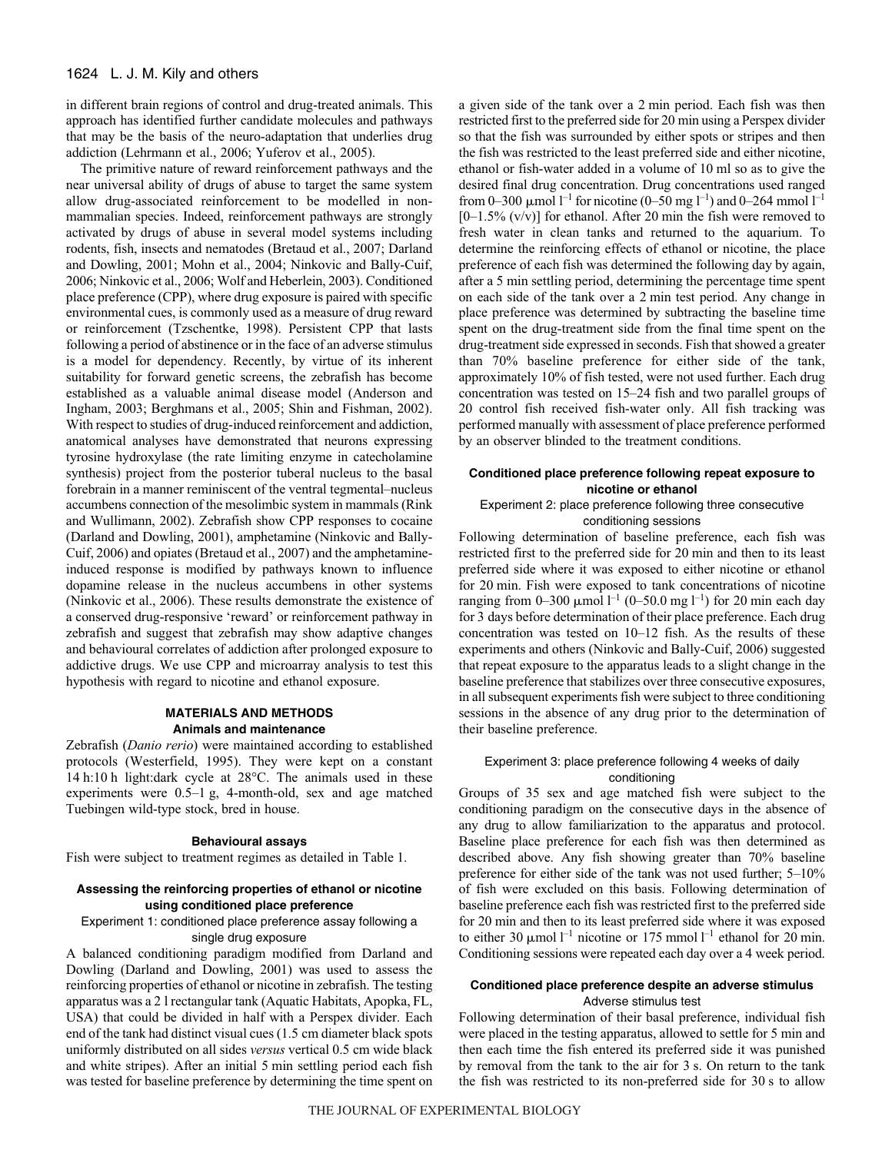in different brain regions of control and drug-treated animals. This approach has identified further candidate molecules and pathways that may be the basis of the neuro-adaptation that underlies drug addiction (Lehrmann et al., 2006; Yuferov et al., 2005).

The primitive nature of reward reinforcement pathways and the near universal ability of drugs of abuse to target the same system allow drug-associated reinforcement to be modelled in nonmammalian species. Indeed, reinforcement pathways are strongly activated by drugs of abuse in several model systems including rodents, fish, insects and nematodes (Bretaud et al., 2007; Darland and Dowling, 2001; Mohn et al., 2004; Ninkovic and Bally-Cuif, 2006; Ninkovic et al., 2006; Wolf and Heberlein, 2003). Conditioned place preference (CPP), where drug exposure is paired with specific environmental cues, is commonly used as a measure of drug reward or reinforcement (Tzschentke, 1998). Persistent CPP that lasts following a period of abstinence or in the face of an adverse stimulus is a model for dependency. Recently, by virtue of its inherent suitability for forward genetic screens, the zebrafish has become established as a valuable animal disease model (Anderson and Ingham, 2003; Berghmans et al., 2005; Shin and Fishman, 2002). With respect to studies of drug-induced reinforcement and addiction, anatomical analyses have demonstrated that neurons expressing tyrosine hydroxylase (the rate limiting enzyme in catecholamine synthesis) project from the posterior tuberal nucleus to the basal forebrain in a manner reminiscent of the ventral tegmental–nucleus accumbens connection of the mesolimbic system in mammals (Rink and Wullimann, 2002). Zebrafish show CPP responses to cocaine (Darland and Dowling, 2001), amphetamine (Ninkovic and Bally-Cuif, 2006) and opiates (Bretaud et al., 2007) and the amphetamineinduced response is modified by pathways known to influence dopamine release in the nucleus accumbens in other systems (Ninkovic et al., 2006). These results demonstrate the existence of a conserved drug-responsive 'reward' or reinforcement pathway in zebrafish and suggest that zebrafish may show adaptive changes and behavioural correlates of addiction after prolonged exposure to addictive drugs. We use CPP and microarray analysis to test this hypothesis with regard to nicotine and ethanol exposure.

# **MATERIALS AND METHODS Animals and maintenance**

Zebrafish (*Danio rerio*) were maintained according to established protocols (Westerfield, 1995). They were kept on a constant 14 h:10 h light:dark cycle at  $28^{\circ}$ C. The animals used in these experiments were 0.5-1 g, 4-month-old, sex and age matched Tuebingen wild-type stock, bred in house.

#### **Behavioural assays**

Fish were subject to treatment regimes as detailed in Table 1.

# **Assessing the reinforcing properties of ethanol or nicotine using conditioned place preference**

#### Experiment 1: conditioned place preference assay following a single drug exposure

A balanced conditioning paradigm modified from Darland and Dowling (Darland and Dowling, 2001) was used to assess the reinforcing properties of ethanol or nicotine in zebrafish. The testing apparatus was a 2 l rectangular tank (Aquatic Habitats, Apopka, FL, USA) that could be divided in half with a Perspex divider. Each end of the tank had distinct visual cues (1.5 cm diameter black spots uniformly distributed on all sides *versus* vertical 0.5 cm wide black and white stripes). After an initial 5 min settling period each fish was tested for baseline preference by determining the time spent on

a given side of the tank over a 2 min period. Each fish was then restricted first to the preferred side for 20 min using a Perspex divider so that the fish was surrounded by either spots or stripes and then the fish was restricted to the least preferred side and either nicotine, ethanol or fish-water added in a volume of 10 ml so as to give the desired final drug concentration. Drug concentrations used ranged from 0–300  $\mu$ mol 1<sup>-1</sup> for nicotine (0–50 mg 1<sup>-1</sup>) and 0–264 mmol 1<sup>-1</sup>  $[0-1.5\%$  (v/v)] for ethanol. After 20 min the fish were removed to fresh water in clean tanks and returned to the aquarium. To determine the reinforcing effects of ethanol or nicotine, the place preference of each fish was determined the following day by again, after a 5 min settling period, determining the percentage time spent on each side of the tank over a 2 min test period. Any change in place preference was determined by subtracting the baseline time spent on the drug-treatment side from the final time spent on the drug-treatment side expressed in seconds. Fish that showed a greater than 70% baseline preference for either side of the tank, approximately 10% of fish tested, were not used further. Each drug concentration was tested on 15–24 fish and two parallel groups of 20 control fish received fish-water only. All fish tracking was performed manually with assessment of place preference performed by an observer blinded to the treatment conditions.

## **Conditioned place preference following repeat exposure to nicotine or ethanol**

# Experiment 2: place preference following three consecutive conditioning sessions

Following determination of baseline preference, each fish was restricted first to the preferred side for 20 min and then to its least preferred side where it was exposed to either nicotine or ethanol for 20 min. Fish were exposed to tank concentrations of nicotine ranging from 0–300  $\mu$ mol l<sup>-1</sup> (0–50.0 mg l<sup>-1</sup>) for 20 min each day for 3 days before determination of their place preference. Each drug concentration was tested on 10–12 fish. As the results of these experiments and others (Ninkovic and Bally-Cuif, 2006) suggested that repeat exposure to the apparatus leads to a slight change in the baseline preference that stabilizes over three consecutive exposures, in all subsequent experiments fish were subject to three conditioning sessions in the absence of any drug prior to the determination of their baseline preference.

## Experiment 3: place preference following 4 weeks of daily conditioning

Groups of 35 sex and age matched fish were subject to the conditioning paradigm on the consecutive days in the absence of any drug to allow familiarization to the apparatus and protocol. Baseline place preference for each fish was then determined as described above. Any fish showing greater than 70% baseline preference for either side of the tank was not used further; 5–10% of fish were excluded on this basis. Following determination of baseline preference each fish was restricted first to the preferred side for 20 min and then to its least preferred side where it was exposed to either 30  $\mu$ mol l<sup>-1</sup> nicotine or 175 mmol l<sup>-1</sup> ethanol for 20 min. Conditioning sessions were repeated each day over a 4 week period.

#### **Conditioned place preference despite an adverse stimulus** Adverse stimulus test

Following determination of their basal preference, individual fish were placed in the testing apparatus, allowed to settle for 5 min and then each time the fish entered its preferred side it was punished by removal from the tank to the air for 3 s. On return to the tank the fish was restricted to its non-preferred side for 30 s to allow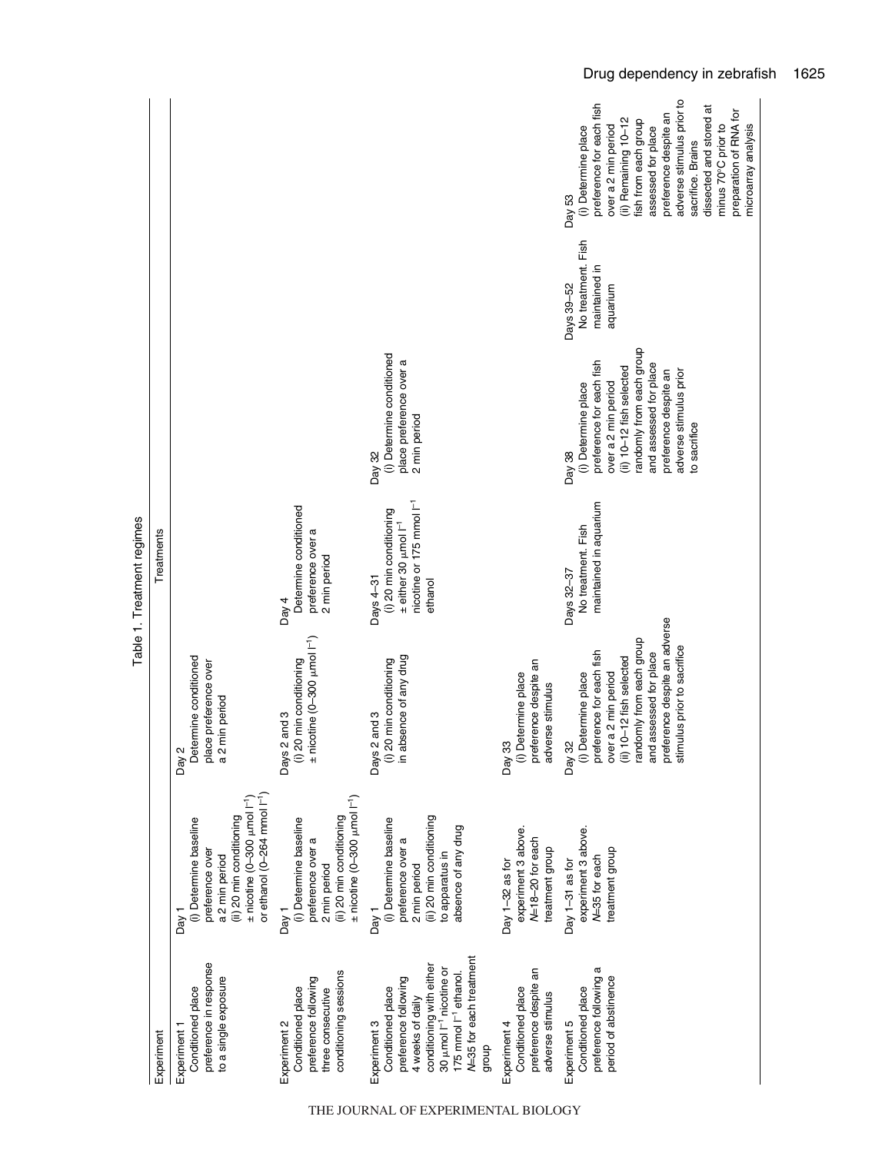|                                                                                                                                                                                                                       |                                                                                                                                                                                                       |                                                                                                                                                                                                                                        | lable I. Teamer regimes                                                                                                                    |                                                                                                                                                                                                                                       |                                                               |                                                                                                                                                                                                                                                                                                                                      |
|-----------------------------------------------------------------------------------------------------------------------------------------------------------------------------------------------------------------------|-------------------------------------------------------------------------------------------------------------------------------------------------------------------------------------------------------|----------------------------------------------------------------------------------------------------------------------------------------------------------------------------------------------------------------------------------------|--------------------------------------------------------------------------------------------------------------------------------------------|---------------------------------------------------------------------------------------------------------------------------------------------------------------------------------------------------------------------------------------|---------------------------------------------------------------|--------------------------------------------------------------------------------------------------------------------------------------------------------------------------------------------------------------------------------------------------------------------------------------------------------------------------------------|
| Experiment                                                                                                                                                                                                            |                                                                                                                                                                                                       |                                                                                                                                                                                                                                        | Treatments                                                                                                                                 |                                                                                                                                                                                                                                       |                                                               |                                                                                                                                                                                                                                                                                                                                      |
| preference in response<br>to a single exposure<br>Conditioned place<br>Experiment 1                                                                                                                                   | or ethanol (0-264 mmol I <sup>-1</sup> )<br>$\pm$ nicotine (0-300 $\mu$ mol $1^{-1}$ )<br>(ii) 20 min conditioning<br>(i) Determine baseline<br>preference over<br>a 2 min period<br>Day <sub>1</sub> | Determine conditioned<br>place preference over<br>a 2 min period<br>Day 2                                                                                                                                                              |                                                                                                                                            |                                                                                                                                                                                                                                       |                                                               |                                                                                                                                                                                                                                                                                                                                      |
| conditioning sessions<br>preference following<br>Conditioned place<br>three consecutive<br>Experiment 2                                                                                                               | $\pm$ nicotine (0-300 $\mu$ mol $ ^{-1}$ )<br>(ii) 20 min conditioning<br>(i) Determine baseline<br>preference over a<br>2 min period<br>Day <sub>1</sub>                                             | $\pm$ nicotine (0-300 $\mu$ mol $1^{-1}$ )<br>(i) 20 min conditioning<br>Days 2 and 3                                                                                                                                                  | Determine conditioned<br>preference over a<br>2 min period<br>Day $4$                                                                      |                                                                                                                                                                                                                                       |                                                               |                                                                                                                                                                                                                                                                                                                                      |
| N=35 for each treatment<br>conditioning with either<br>30 µmol I <sup>-1</sup> nicotine or<br>175 mmol $\Gamma^1$ ethanol.<br>preference following<br>Conditioned place<br>4 weeks of daily<br>Experiment 3<br>diorib | (ii) 20 min conditioning<br>(i) Determine baseline<br>absence of any drug<br>preference over a<br>to apparatus in<br>2 min period<br>Day <sub>1</sub>                                                 | in absence of any drug<br>(i) 20 min conditioning<br>Days 2 and 3                                                                                                                                                                      | nicotine or 175 mmol I <sup>-1</sup><br>(i) 20 min conditioning<br>$\pm$ either 30 $\mu$ mol $\Gamma$ <sup>1</sup><br>Days 4-31<br>ethanol | (i) Determine conditioned<br>place preference over a<br>2 min period<br>Day 32                                                                                                                                                        |                                                               |                                                                                                                                                                                                                                                                                                                                      |
| preference despite an<br>Conditioned place<br>adverse stimulus<br>Experiment 4                                                                                                                                        | experiment 3 above.<br>N=18-20 for each<br>treatment group<br>Day 1-32 as for                                                                                                                         | preference despite an<br>(i) Determine place<br>adverse stimulus<br>Day 33                                                                                                                                                             |                                                                                                                                            |                                                                                                                                                                                                                                       |                                                               |                                                                                                                                                                                                                                                                                                                                      |
| preference following a<br>period of abstinence<br>Conditioned place<br>Experiment 5                                                                                                                                   | experiment 3 above.<br>treatment group<br>N=35 for each<br>Day 1-31 as for                                                                                                                            | preference despite an adverse<br>randomly from each group<br>us prior to sacrifice<br>preference for each fish<br>and assessed for place<br>(ii) 10-12 fish selected<br>over a 2 min period<br>(i) Determine place<br>Day 32<br>stimul | maintained in aquarium<br>No treatment. Fish<br>Days 32-37                                                                                 | randomly from each group<br>preference for each fish<br>and assessed for place<br>(ii) 10-12 fish selected<br>adverse stimulus prior<br>preference despite an<br>over a 2 min period<br>(i) Determine place<br>to sacrifice<br>Day 38 | No treatment. Fish<br>maintained in<br>Days 39-52<br>aquarium | adverse stimulus prior to<br>preference for each fish<br>dissected and stored at<br>preparation of RNA for<br>preference despite an<br>(ii) Remaining 10-12<br>fish from each group<br>minus 70°C prior to<br>microarray analysis<br>(i) Determine place<br>over a 2 min period<br>assessed for place<br>sacrifice. Brains<br>Day 53 |

Table 1 Treatment regimes Table 1. Treatment regimes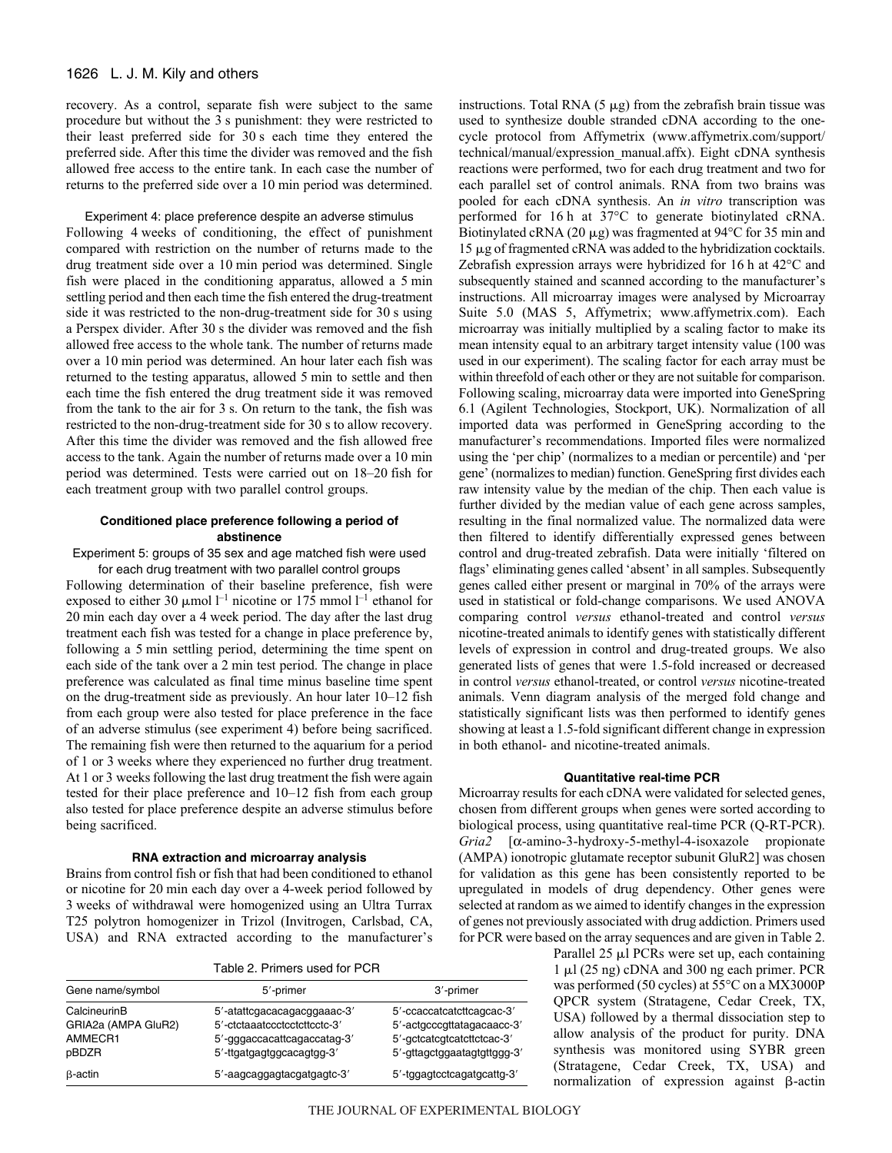### 1626 L. J. M. Kily and others

recovery. As a control, separate fish were subject to the same procedure but without the 3 s punishment: they were restricted to their least preferred side for 30 s each time they entered the preferred side. After this time the divider was removed and the fish allowed free access to the entire tank. In each case the number of returns to the preferred side over a 10 min period was determined.

### Experiment 4: place preference despite an adverse stimulus

Following 4 weeks of conditioning, the effect of punishment compared with restriction on the number of returns made to the drug treatment side over a 10 min period was determined. Single fish were placed in the conditioning apparatus, allowed a 5 min settling period and then each time the fish entered the drug-treatment side it was restricted to the non-drug-treatment side for 30 s using a Perspex divider. After 30 s the divider was removed and the fish allowed free access to the whole tank. The number of returns made over a 10 min period was determined. An hour later each fish was returned to the testing apparatus, allowed 5 min to settle and then each time the fish entered the drug treatment side it was removed from the tank to the air for 3 s. On return to the tank, the fish was restricted to the non-drug-treatment side for 30 s to allow recovery. After this time the divider was removed and the fish allowed free access to the tank. Again the number of returns made over a 10 min period was determined. Tests were carried out on 18–20 fish for each treatment group with two parallel control groups.

## **Conditioned place preference following a period of abstinence**

Experiment 5: groups of 35 sex and age matched fish were used for each drug treatment with two parallel control groups

Following determination of their baseline preference, fish were exposed to either 30  $\mu$ mol l<sup>-1</sup> nicotine or 175 mmol l<sup>-1</sup> ethanol for 20 min each day over a 4 week period. The day after the last drug treatment each fish was tested for a change in place preference by, following a 5 min settling period, determining the time spent on each side of the tank over a 2 min test period. The change in place preference was calculated as final time minus baseline time spent on the drug-treatment side as previously. An hour later 10–12 fish from each group were also tested for place preference in the face of an adverse stimulus (see experiment 4) before being sacrificed. The remaining fish were then returned to the aquarium for a period of 1 or 3 weeks where they experienced no further drug treatment. At 1 or 3 weeks following the last drug treatment the fish were again tested for their place preference and 10–12 fish from each group also tested for place preference despite an adverse stimulus before being sacrificed.

#### **RNA extraction and microarray analysis**

Brains from control fish or fish that had been conditioned to ethanol or nicotine for 20 min each day over a 4-week period followed by 3·weeks of withdrawal were homogenized using an Ultra Turrax T25 polytron homogenizer in Trizol (Invitrogen, Carlsbad, CA, USA) and RNA extracted according to the manufacturer's

| Table 2. Primers used for PCR |  |  |  |  |
|-------------------------------|--|--|--|--|
|-------------------------------|--|--|--|--|

| Gene name/symbol    | 5'-primer                    | 3'-primer                   |
|---------------------|------------------------------|-----------------------------|
| CalcineurinB        | 5'-atattcgacacagacggaaac-3'  | 5'-ccaccatcatcttcagcac-3'   |
| GRIA2a (AMPA GluR2) | 5'-ctctaaatccctcctcttcctc-3' | 5'-actgcccgttatagacaacc-3'  |
| AMMECR1             | 5'-gggaccacattcagaccatag-3'  | 5'-gctcatcgtcatcttctcac-3'  |
| pBDZR               | 5'-ttgatgagtggcacagtgg-3'    | 5'-gttagctggaatagtgttggg-3' |
| β-actin             | 5'-aagcaggagtacgatgagtc-3'   | 5'-tggagtcctcagatgcattg-3'  |

used to synthesize double stranded cDNA according to the onecycle protocol from Affymetrix (www.affymetrix.com/support/ technical/manual/expression\_manual.affx). Eight cDNA synthesis reactions were performed, two for each drug treatment and two for each parallel set of control animals. RNA from two brains was pooled for each cDNA synthesis. An *in vitro* transcription was performed for 16 h at 37°C to generate biotinylated cRNA. Biotinylated cRNA (20  $\mu$ g) was fragmented at 94°C for 35 min and  $15 \mu$ g of fragmented cRNA was added to the hybridization cocktails. Zebrafish expression arrays were hybridized for 16 h at  $42^{\circ}$ C and subsequently stained and scanned according to the manufacturer's instructions. All microarray images were analysed by Microarray Suite 5.0 (MAS 5, Affymetrix; www.affymetrix.com). Each microarray was initially multiplied by a scaling factor to make its mean intensity equal to an arbitrary target intensity value (100 was used in our experiment). The scaling factor for each array must be within threefold of each other or they are not suitable for comparison. Following scaling, microarray data were imported into GeneSpring 6.1 (Agilent Technologies, Stockport, UK). Normalization of all imported data was performed in GeneSpring according to the manufacturer's recommendations. Imported files were normalized using the 'per chip' (normalizes to a median or percentile) and 'per gene' (normalizes to median) function. GeneSpring first divides each raw intensity value by the median of the chip. Then each value is further divided by the median value of each gene across samples, resulting in the final normalized value. The normalized data were then filtered to identify differentially expressed genes between control and drug-treated zebrafish. Data were initially 'filtered on flags' eliminating genes called 'absent' in all samples. Subsequently genes called either present or marginal in 70% of the arrays were used in statistical or fold-change comparisons. We used ANOVA comparing control *versus* ethanol-treated and control *versus* nicotine-treated animals to identify genes with statistically different levels of expression in control and drug-treated groups. We also generated lists of genes that were 1.5-fold increased or decreased in control *versus* ethanol-treated, or control *versus* nicotine-treated animals. Venn diagram analysis of the merged fold change and statistically significant lists was then performed to identify genes showing at least a 1.5-fold significant different change in expression in both ethanol- and nicotine-treated animals.

instructions. Total RNA  $(5 \mu g)$  from the zebrafish brain tissue was

#### **Quantitative real-time PCR**

Microarray results for each cDNA were validated for selected genes, chosen from different groups when genes were sorted according to biological process, using quantitative real-time PCR (Q-RT-PCR). *Gria2* [α-amino-3-hydroxy-5-methyl-4-isoxazole propionate (AMPA) ionotropic glutamate receptor subunit GluR2] was chosen for validation as this gene has been consistently reported to be upregulated in models of drug dependency. Other genes were selected at random as we aimed to identify changes in the expression of genes not previously associated with drug addiction. Primers used for PCR were based on the array sequences and are given in Table 2.

> Parallel  $25 \mu$  PCRs were set up, each containing 1  $\mu$ l (25 ng) cDNA and 300 ng each primer. PCR was performed (50 cycles) at 55°C on a MX3000P QPCR system (Stratagene, Cedar Creek, TX, USA) followed by a thermal dissociation step to allow analysis of the product for purity. DNA synthesis was monitored using SYBR green (Stratagene, Cedar Creek, TX, USA) and normalization of expression against  $\beta$ -actin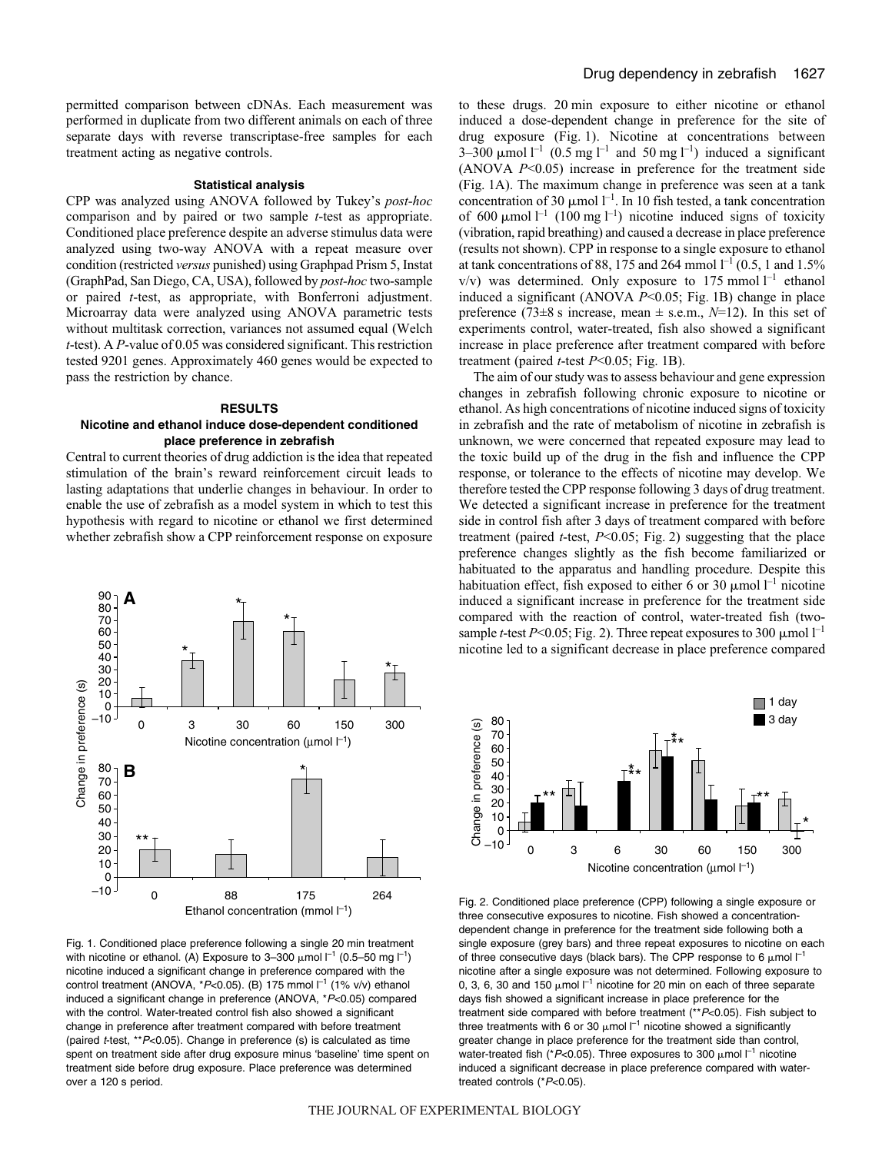permitted comparison between cDNAs. Each measurement was performed in duplicate from two different animals on each of three separate days with reverse transcriptase-free samples for each treatment acting as negative controls.

#### **Statistical analysis**

CPP was analyzed using ANOVA followed by Tukey's *post-hoc* comparison and by paired or two sample *t*-test as appropriate. Conditioned place preference despite an adverse stimulus data were analyzed using two-way ANOVA with a repeat measure over condition (restricted *versus* punished) using Graphpad Prism 5, Instat (GraphPad, San Diego, CA, USA), followed by *post-hoc* two-sample or paired *t*-test, as appropriate, with Bonferroni adjustment. Microarray data were analyzed using ANOVA parametric tests without multitask correction, variances not assumed equal (Welch *t*-test). A *P*-value of 0.05 was considered significant. This restriction tested 9201 genes. Approximately 460 genes would be expected to pass the restriction by chance.

#### **RESULTS**

## **Nicotine and ethanol induce dose-dependent conditioned place preference in zebrafish**

Central to current theories of drug addiction is the idea that repeated stimulation of the brain's reward reinforcement circuit leads to lasting adaptations that underlie changes in behaviour. In order to enable the use of zebrafish as a model system in which to test this hypothesis with regard to nicotine or ethanol we first determined whether zebrafish show a CPP reinforcement response on exposure



Fig. 1. Conditioned place preference following a single 20 min treatment with nicotine or ethanol. (A) Exposure to 3-300  $\mu$ mol  $l^{-1}$  (0.5-50 mg  $l^{-1}$ ) nicotine induced a significant change in preference compared with the control treatment (ANOVA,  $*P<0.05$ ). (B) 175 mmol  $I^{-1}$  (1% v/v) ethanol induced a significant change in preference (ANOVA, \*P<0.05) compared with the control. Water-treated control fish also showed a significant change in preference after treatment compared with before treatment (paired t-test, \*\*P<0.05). Change in preference (s) is calculated as time spent on treatment side after drug exposure minus 'baseline' time spent on treatment side before drug exposure. Place preference was determined over a 120 s period.

to these drugs. 20 min exposure to either nicotine or ethanol induced a dose-dependent change in preference for the site of drug exposure (Fig. 1). Nicotine at concentrations between 3–300  $\mu$ mol l<sup>-1</sup> (0.5 mg l<sup>-1</sup> and 50 mg l<sup>-1</sup>) induced a significant (ANOVA *P*<0.05) increase in preference for the treatment side (Fig. 1A). The maximum change in preference was seen at a tank concentration of 30  $\mu$ mol l<sup>-1</sup>. In 10 fish tested, a tank concentration of 600  $\mu$ mol l<sup>-1</sup> (100 mg l<sup>-1</sup>) nicotine induced signs of toxicity (vibration, rapid breathing) and caused a decrease in place preference (results not shown). CPP in response to a single exposure to ethanol at tank concentrations of 88, 175 and 264 mmol  $l^{-1}$  (0.5, 1 and 1.5%  $v/v$ ) was determined. Only exposure to 175 mmol  $l^{-1}$  ethanol induced a significant (ANOVA *P*<0.05; Fig. 1B) change in place preference (73 $\pm$ 8 s increase, mean  $\pm$  s.e.m., *N*=12). In this set of experiments control, water-treated, fish also showed a significant increase in place preference after treatment compared with before treatment (paired  $t$ -test  $P<0.05$ ; Fig. 1B).

The aim of our study was to assess behaviour and gene expression changes in zebrafish following chronic exposure to nicotine or ethanol. As high concentrations of nicotine induced signs of toxicity in zebrafish and the rate of metabolism of nicotine in zebrafish is unknown, we were concerned that repeated exposure may lead to the toxic build up of the drug in the fish and influence the CPP response, or tolerance to the effects of nicotine may develop. We therefore tested the CPP response following 3 days of drug treatment. We detected a significant increase in preference for the treatment side in control fish after 3 days of treatment compared with before treatment (paired *t*-test,  $P<0.05$ ; Fig. 2) suggesting that the place preference changes slightly as the fish become familiarized or habituated to the apparatus and handling procedure. Despite this habituation effect, fish exposed to either 6 or 30  $\mu$ mol l<sup>-1</sup> nicotine induced a significant increase in preference for the treatment side compared with the reaction of control, water-treated fish (twosample *t*-test *P*<0.05; Fig. 2). Three repeat exposures to 300  $\mu$  mol  $l^{-1}$  nicotine led to a significant decrease in place preference compared nicotine led to a significant decrease in place preference compared



Fig. 2. Conditioned place preference (CPP) following a single exposure or three consecutive exposures to nicotine. Fish showed a concentrationdependent change in preference for the treatment side following both a single exposure (grey bars) and three repeat exposures to nicotine on each of three consecutive days (black bars). The CPP response to 6  $\mu$ mol  $l^{-1}$ nicotine after a single exposure was not determined. Following exposure to 0, 3, 6, 30 and 150  $\mu$ mol  $I^{-1}$  nicotine for 20 min on each of three separate days fish showed a significant increase in place preference for the treatment side compared with before treatment (\*\*P<0.05). Fish subject to three treatments with 6 or 30  $\mu$ mol  $I^{-1}$  nicotine showed a significantly greater change in place preference for the treatment side than control, water-treated fish (\* $P$ <0.05). Three exposures to 300  $\mu$ mol  $I^{-1}$  nicotine induced a significant decrease in place preference compared with watertreated controls (\*P<0.05).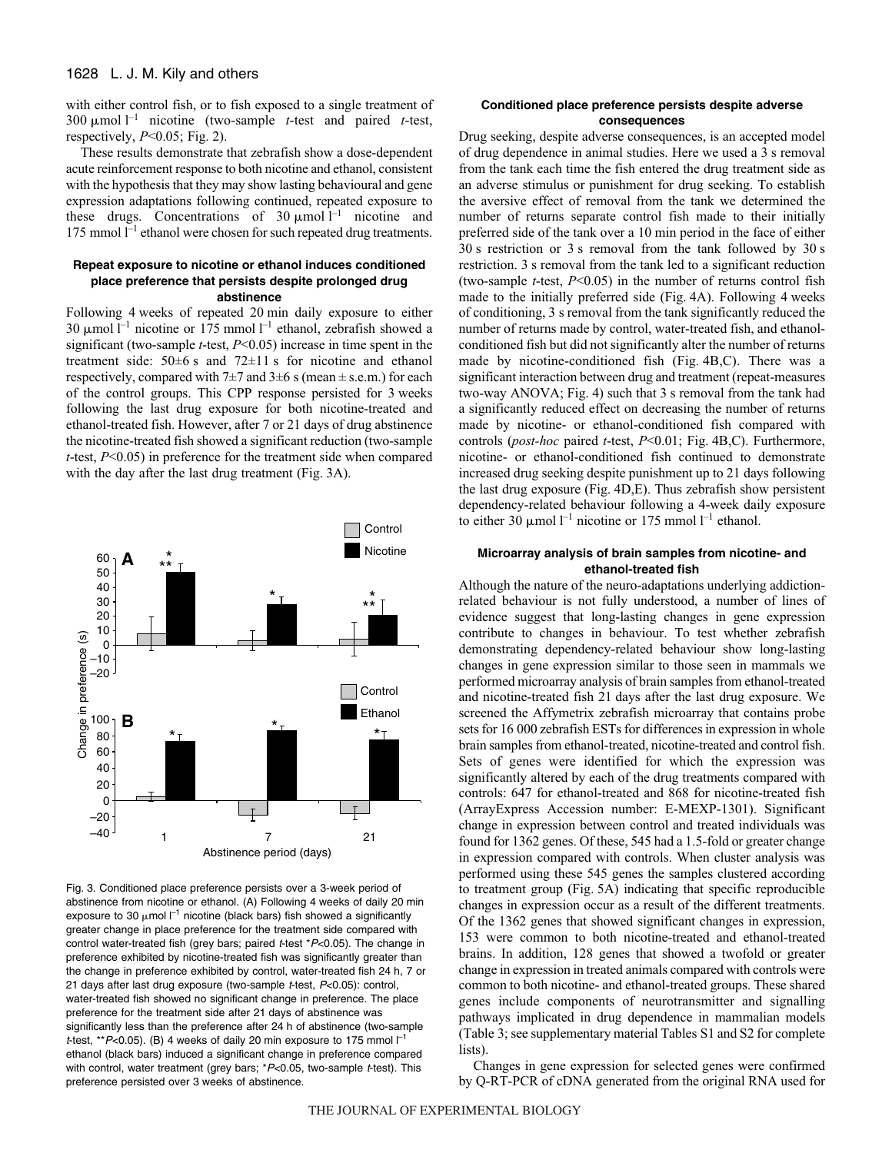with either control fish, or to fish exposed to a single treatment of 300  $\mu$ mol<sup>-1</sup> nicotine (two-sample *t*-test and paired *t*-test, respectively,  $P<0.05$ ; Fig. 2).

These results demonstrate that zebrafish show a dose-dependent acute reinforcement response to both nicotine and ethanol, consistent with the hypothesis that they may show lasting behavioural and gene expression adaptations following continued, repeated exposure to these drugs. Concentrations of  $30 \mu \text{mol}^{-1}$  nicotine and 175 mmol  $l^{-1}$  ethanol were chosen for such repeated drug treatments.

#### **Repeat exposure to nicotine or ethanol induces conditioned place preference that persists despite prolonged drug abstinence**

Following 4 weeks of repeated 20 min daily exposure to either 30  $\mu$ mol l<sup>-1</sup> nicotine or 175 mmol l<sup>-1</sup> ethanol, zebrafish showed a significant (two-sample *t*-test, *P*<0.05) increase in time spent in the treatment side:  $50\pm6$  s and  $72\pm11$  s for nicotine and ethanol respectively, compared with  $7\pm7$  and  $3\pm6$  s (mean  $\pm$  s.e.m.) for each of the control groups. This CPP response persisted for 3 weeks following the last drug exposure for both nicotine-treated and ethanol-treated fish. However, after 7 or 21 days of drug abstinence the nicotine-treated fish showed a significant reduction (two-sample *t*-test, *P*<0.05) in preference for the treatment side when compared with the day after the last drug treatment (Fig. 3A).



Fig. 3. Conditioned place preference persists over a 3-week period of abstinence from nicotine or ethanol. (A) Following 4 weeks of daily 20 min exposure to 30  $\mu$ mol  $l^{-1}$  nicotine (black bars) fish showed a significantly greater change in place preference for the treatment side compared with control water-treated fish (grey bars; paired t-test \*P<0.05). The change in preference exhibited by nicotine-treated fish was significantly greater than the change in preference exhibited by control, water-treated fish 24 h, 7 or 21 days after last drug exposure (two-sample t-test, P<0.05): control, water-treated fish showed no significant change in preference. The place preference for the treatment side after 21 days of abstinence was significantly less than the preference after 24 h of abstinence (two-sample t-test, \*\* $P<0.05$ ). (B) 4 weeks of daily 20 min exposure to 175 mmol  $I^{-1}$ ethanol (black bars) induced a significant change in preference compared with control, water treatment (grey bars; \*P<0.05, two-sample t-test). This preference persisted over 3 weeks of abstinence.

### **Conditioned place preference persists despite adverse consequences**

Drug seeking, despite adverse consequences, is an accepted model of drug dependence in animal studies. Here we used a 3 s removal from the tank each time the fish entered the drug treatment side as an adverse stimulus or punishment for drug seeking. To establish the aversive effect of removal from the tank we determined the number of returns separate control fish made to their initially preferred side of the tank over a 10 min period in the face of either  $30\text{ s}$  restriction or 3 s removal from the tank followed by  $30\text{ s}$ restriction. 3 s removal from the tank led to a significant reduction (two-sample *t*-test, *P*<0.05) in the number of returns control fish made to the initially preferred side (Fig. 4A). Following 4 weeks of conditioning, 3 s removal from the tank significantly reduced the number of returns made by control, water-treated fish, and ethanolconditioned fish but did not significantly alter the number of returns made by nicotine-conditioned fish (Fig.  $4B$ ,C). There was a significant interaction between drug and treatment (repeat-measures two-way ANOVA; Fig. 4) such that 3 s removal from the tank had a significantly reduced effect on decreasing the number of returns made by nicotine- or ethanol-conditioned fish compared with controls (*post-hoc* paired *t*-test, *P*<0.01; Fig. 4B,C). Furthermore, nicotine- or ethanol-conditioned fish continued to demonstrate increased drug seeking despite punishment up to 21 days following the last drug exposure (Fig. 4D,E). Thus zebrafish show persistent dependency-related behaviour following a 4-week daily exposure to either 30  $\mu$ mol l<sup>-1</sup> nicotine or 175 mmol l<sup>-1</sup> ethanol.

### **Microarray analysis of brain samples from nicotine- and ethanol-treated fish**

Although the nature of the neuro-adaptations underlying addictionrelated behaviour is not fully understood, a number of lines of evidence suggest that long-lasting changes in gene expression contribute to changes in behaviour. To test whether zebrafish demonstrating dependency-related behaviour show long-lasting changes in gene expression similar to those seen in mammals we performed microarray analysis of brain samples from ethanol-treated and nicotine-treated fish 21 days after the last drug exposure. We screened the Affymetrix zebrafish microarray that contains probe sets for 16 000 zebrafish ESTs for differences in expression in whole brain samples from ethanol-treated, nicotine-treated and control fish. Sets of genes were identified for which the expression was significantly altered by each of the drug treatments compared with controls: 647 for ethanol-treated and 868 for nicotine-treated fish (ArrayExpress Accession number: E-MEXP-1301). Significant change in expression between control and treated individuals was found for 1362 genes. Of these, 545 had a 1.5-fold or greater change in expression compared with controls. When cluster analysis was performed using these 545 genes the samples clustered according to treatment group (Fig. 5A) indicating that specific reproducible changes in expression occur as a result of the different treatments. Of the 1362 genes that showed significant changes in expression, 153 were common to both nicotine-treated and ethanol-treated brains. In addition, 128 genes that showed a twofold or greater change in expression in treated animals compared with controls were common to both nicotine- and ethanol-treated groups. These shared genes include components of neurotransmitter and signalling pathways implicated in drug dependence in mammalian models (Table 3; see supplementary material Tables S1 and S2 for complete lists).

Changes in gene expression for selected genes were confirmed by Q-RT-PCR of cDNA generated from the original RNA used for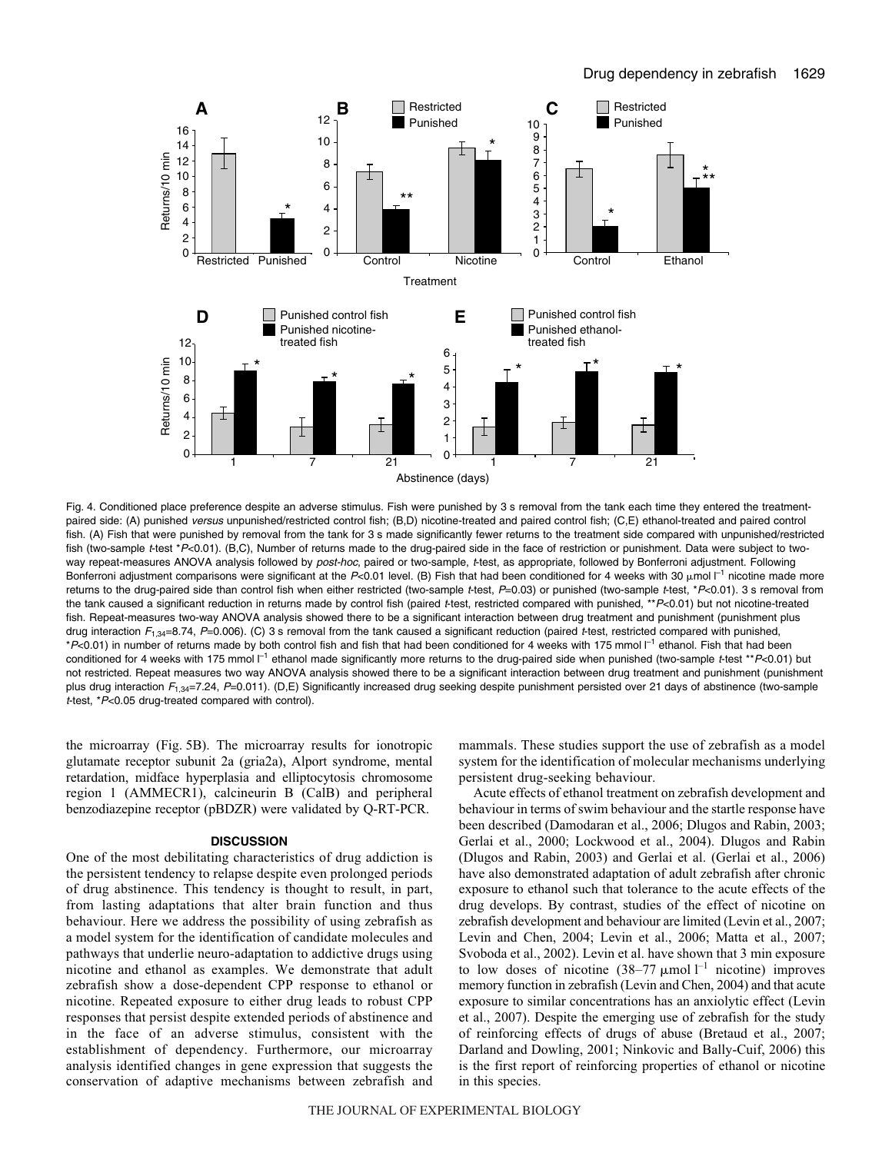

Fig. 4. Conditioned place preference despite an adverse stimulus. Fish were punished by 3 s removal from the tank each time they entered the treatmentpaired side: (A) punished versus unpunished/restricted control fish; (B,D) nicotine-treated and paired control fish; (C,E) ethanol-treated and paired control fish. (A) Fish that were punished by removal from the tank for 3 s made significantly fewer returns to the treatment side compared with unpunished/restricted fish (two-sample t-test \*P<0.01). (B,C), Number of returns made to the drug-paired side in the face of restriction or punishment. Data were subject to twoway repeat-measures ANOVA analysis followed by post-hoc, paired or two-sample, t-test, as appropriate, followed by Bonferroni adjustment. Following Bonferroni adjustment comparisons were significant at the P<0.01 level. (B) Fish that had been conditioned for 4 weeks with 30 µmol  $\Gamma^1$  nicotine made more returns to the drug-paired side than control fish when either restricted (two-sample t-test, P=0.03) or punished (two-sample t-test, \*P<0.01). 3 s removal from the tank caused a significant reduction in returns made by control fish (paired t-test, restricted compared with punished, \*\*P<0.01) but not nicotine-treated fish. Repeat-measures two-way ANOVA analysis showed there to be a significant interaction between drug treatment and punishment (punishment plus drug interaction  $F_{1,34}$ =8.74, P=0.006). (C) 3 s removal from the tank caused a significant reduction (paired t-test, restricted compared with punished, \*P<0.01) in number of returns made by both control fish and fish that had been conditioned for 4 weeks with 175 mmol  $\Gamma^1$  ethanol. Fish that had been conditioned for 4 weeks with 175 mmol  $\Gamma^1$  ethanol made significantly more returns to the drug-paired side when punished (two-sample t-test \*\*P<0.01) but not restricted. Repeat measures two way ANOVA analysis showed there to be a significant interaction between drug treatment and punishment (punishment plus drug interaction  $F_{1,34}$ =7.24,  $P$ =0.011). (D,E) Significantly increased drug seeking despite punishment persisted over 21 days of abstinence (two-sample <sup>t</sup>-test, \*P<0.05 drug-treated compared with control).

the microarray (Fig. 5B). The microarray results for ionotropic glutamate receptor subunit 2a (gria2a), Alport syndrome, mental retardation, midface hyperplasia and elliptocytosis chromosome region 1 (AMMECR1), calcineurin B (CalB) and peripheral benzodiazepine receptor (pBDZR) were validated by Q-RT-PCR.

#### **DISCUSSION**

One of the most debilitating characteristics of drug addiction is the persistent tendency to relapse despite even prolonged periods of drug abstinence. This tendency is thought to result, in part, from lasting adaptations that alter brain function and thus behaviour. Here we address the possibility of using zebrafish as a model system for the identification of candidate molecules and pathways that underlie neuro-adaptation to addictive drugs using nicotine and ethanol as examples. We demonstrate that adult zebrafish show a dose-dependent CPP response to ethanol or nicotine. Repeated exposure to either drug leads to robust CPP responses that persist despite extended periods of abstinence and in the face of an adverse stimulus, consistent with the establishment of dependency. Furthermore, our microarray analysis identified changes in gene expression that suggests the conservation of adaptive mechanisms between zebrafish and mammals. These studies support the use of zebrafish as a model system for the identification of molecular mechanisms underlying persistent drug-seeking behaviour.

Acute effects of ethanol treatment on zebrafish development and behaviour in terms of swim behaviour and the startle response have been described (Damodaran et al., 2006; Dlugos and Rabin, 2003; Gerlai et al., 2000; Lockwood et al., 2004). Dlugos and Rabin (Dlugos and Rabin, 2003) and Gerlai et al. (Gerlai et al., 2006) have also demonstrated adaptation of adult zebrafish after chronic exposure to ethanol such that tolerance to the acute effects of the drug develops. By contrast, studies of the effect of nicotine on zebrafish development and behaviour are limited (Levin et al., 2007; Levin and Chen, 2004; Levin et al., 2006; Matta et al., 2007; Svoboda et al., 2002). Levin et al. have shown that 3 min exposure to low doses of nicotine  $(38-77 \text{ }\mu\text{mol})^{-1}$  nicotine) improves memory function in zebrafish (Levin and Chen, 2004) and that acute exposure to similar concentrations has an anxiolytic effect (Levin et al., 2007). Despite the emerging use of zebrafish for the study of reinforcing effects of drugs of abuse (Bretaud et al., 2007; Darland and Dowling, 2001; Ninkovic and Bally-Cuif, 2006) this is the first report of reinforcing properties of ethanol or nicotine in this species.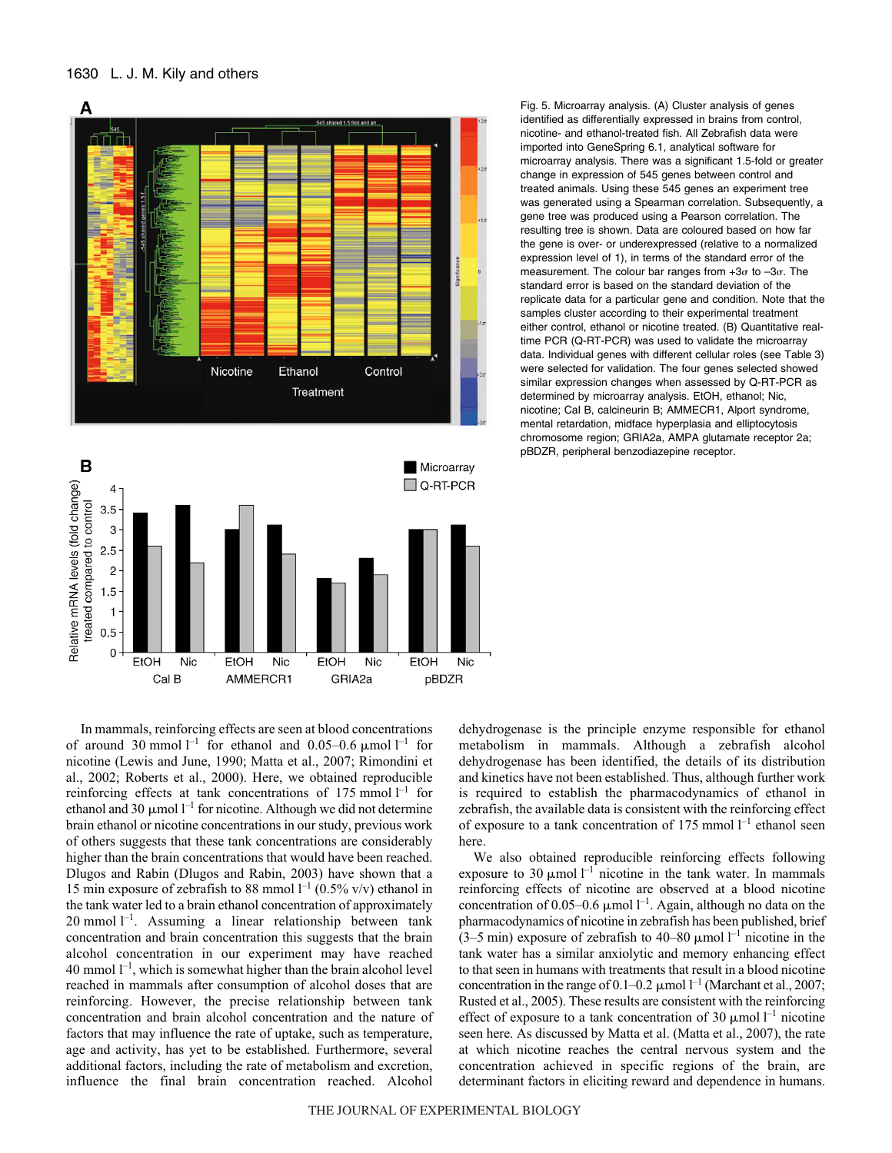



In mammals, reinforcing effects are seen at blood concentrations of around 30 mmol  $l^{-1}$  for ethanol and 0.05–0.6  $\mu$ mol  $l^{-1}$  for nicotine (Lewis and June, 1990; Matta et al., 2007; Rimondini et al., 2002; Roberts et al., 2000). Here, we obtained reproducible reinforcing effects at tank concentrations of  $175$  mmol  $l^{-1}$  for ethanol and 30  $\mu$ mol  $l^{-1}$  for nicotine. Although we did not determine brain ethanol or nicotine concentrations in our study, previous work of others suggests that these tank concentrations are considerably higher than the brain concentrations that would have been reached. Dlugos and Rabin (Dlugos and Rabin, 2003) have shown that a 15 min exposure of zebrafish to 88 mmol  $l^{-1}$  (0.5% v/v) ethanol in the tank water led to a brain ethanol concentration of approximately  $20$  mmol  $l^{-1}$ . Assuming a linear relationship between tank concentration and brain concentration this suggests that the brain alcohol concentration in our experiment may have reached 40 mmol  $l^{-1}$ , which is somewhat higher than the brain alcohol level reached in mammals after consumption of alcohol doses that are reinforcing. However, the precise relationship between tank concentration and brain alcohol concentration and the nature of factors that may influence the rate of uptake, such as temperature, age and activity, has yet to be established. Furthermore, several additional factors, including the rate of metabolism and excretion, influence the final brain concentration reached. Alcohol

Fig. 5. Microarray analysis. (A) Cluster analysis of genes identified as differentially expressed in brains from control, nicotine- and ethanol-treated fish. All Zebrafish data were imported into GeneSpring 6.1, analytical software for microarray analysis. There was a significant 1.5-fold or greater change in expression of 545 genes between control and treated animals. Using these 545 genes an experiment tree was generated using a Spearman correlation. Subsequently, a gene tree was produced using a Pearson correlation. The resulting tree is shown. Data are coloured based on how far the gene is over- or underexpressed (relative to a normalized expression level of 1), in terms of the standard error of the measurement. The colour bar ranges from  $+3\sigma$  to  $-3\sigma$ . The standard error is based on the standard deviation of the replicate data for a particular gene and condition. Note that the samples cluster according to their experimental treatment either control, ethanol or nicotine treated. (B) Quantitative realtime PCR (Q-RT-PCR) was used to validate the microarray data. Individual genes with different cellular roles (see Table 3) were selected for validation. The four genes selected showed similar expression changes when assessed by Q-RT-PCR as determined by microarray analysis. EtOH, ethanol; Nic, nicotine; Cal B, calcineurin B; AMMECR1, Alport syndrome, mental retardation, midface hyperplasia and elliptocytosis chromosome region; GRIA2a, AMPA glutamate receptor 2a; pBDZR, peripheral benzodiazepine receptor.

dehydrogenase is the principle enzyme responsible for ethanol metabolism in mammals. Although a zebrafish alcohol dehydrogenase has been identified, the details of its distribution and kinetics have not been established. Thus, although further work is required to establish the pharmacodynamics of ethanol in zebrafish, the available data is consistent with the reinforcing effect of exposure to a tank concentration of 175 mmol  $l^{-1}$  ethanol seen here.

We also obtained reproducible reinforcing effects following exposure to 30  $\mu$ mol l<sup>-1</sup> nicotine in the tank water. In mammals reinforcing effects of nicotine are observed at a blood nicotine concentration of 0.05–0.6  $\mu$ mol l<sup>-1</sup>. Again, although no data on the pharmacodynamics of nicotine in zebrafish has been published, brief (3–5 min) exposure of zebrafish to 40–80  $\mu$ mol l<sup>-1</sup> nicotine in the tank water has a similar anxiolytic and memory enhancing effect to that seen in humans with treatments that result in a blood nicotine concentration in the range of 0.1–0.2  $\mu$ mol l<sup>-1</sup> (Marchant et al., 2007; Rusted et al., 2005). These results are consistent with the reinforcing effect of exposure to a tank concentration of 30  $\mu$ mol l<sup>-1</sup> nicotine seen here. As discussed by Matta et al. (Matta et al., 2007), the rate at which nicotine reaches the central nervous system and the concentration achieved in specific regions of the brain, are determinant factors in eliciting reward and dependence in humans.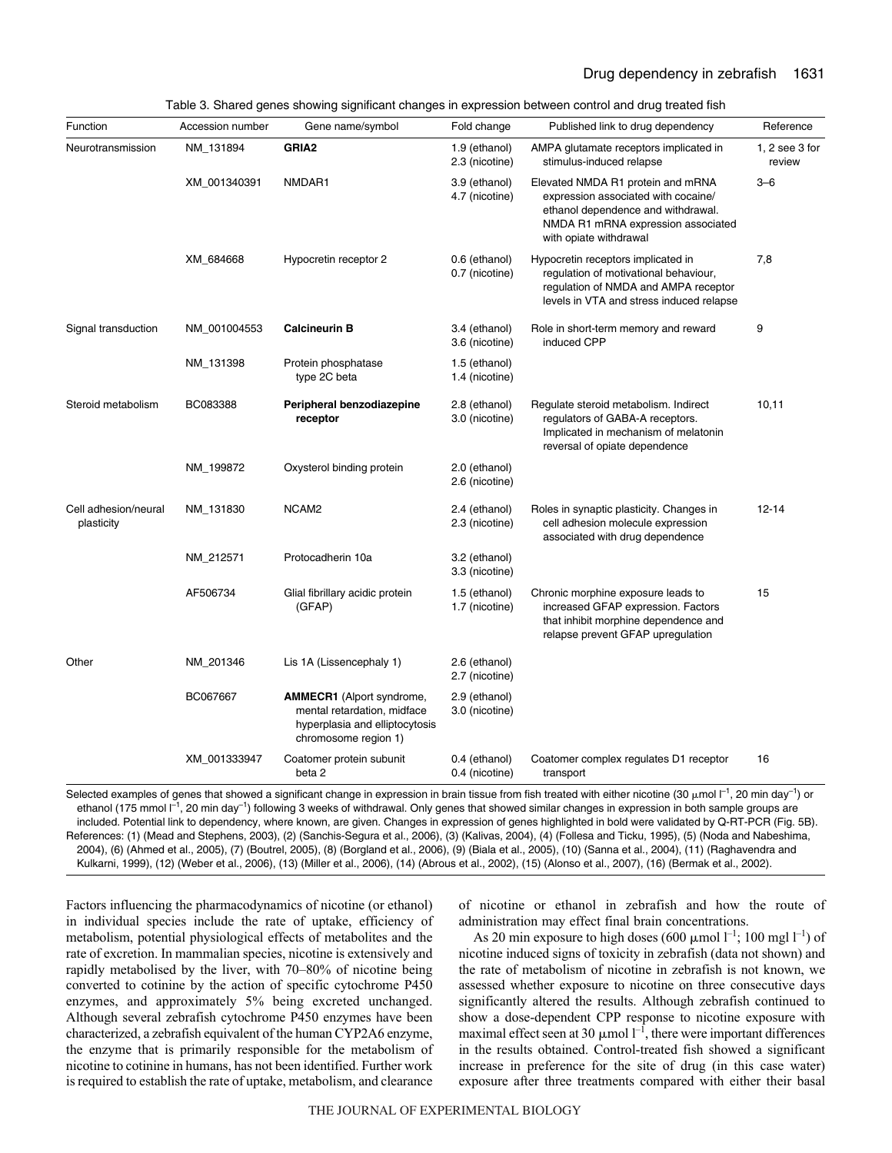|  |  | Table 3. Shared genes showing significant changes in expression between control and drug treated fish |
|--|--|-------------------------------------------------------------------------------------------------------|
|  |  |                                                                                                       |

| Function                           | Accession number | Gene name/symbol                                                                                                          | Fold change                     | Published link to drug dependency                                                                                                                                              | Reference                  |
|------------------------------------|------------------|---------------------------------------------------------------------------------------------------------------------------|---------------------------------|--------------------------------------------------------------------------------------------------------------------------------------------------------------------------------|----------------------------|
| Neurotransmission                  | NM_131894        | GRIA <sub>2</sub>                                                                                                         | 1.9 (ethanol)<br>2.3 (nicotine) | AMPA glutamate receptors implicated in<br>stimulus-induced relapse                                                                                                             | $1, 2$ see 3 for<br>review |
|                                    | XM 001340391     | NMDAR1                                                                                                                    | 3.9 (ethanol)<br>4.7 (nicotine) | Elevated NMDA R1 protein and mRNA<br>expression associated with cocaine/<br>ethanol dependence and withdrawal.<br>NMDA R1 mRNA expression associated<br>with opiate withdrawal | $3 - 6$                    |
|                                    | XM_684668        | Hypocretin receptor 2                                                                                                     | 0.6 (ethanol)<br>0.7 (nicotine) | Hypocretin receptors implicated in<br>regulation of motivational behaviour,<br>regulation of NMDA and AMPA receptor<br>levels in VTA and stress induced relapse                | 7,8                        |
| Signal transduction                | NM 001004553     | <b>Calcineurin B</b>                                                                                                      | 3.4 (ethanol)<br>3.6 (nicotine) | Role in short-term memory and reward<br>induced CPP                                                                                                                            | 9                          |
|                                    | NM_131398        | Protein phosphatase<br>type 2C beta                                                                                       | 1.5 (ethanol)<br>1.4 (nicotine) |                                                                                                                                                                                |                            |
| Steroid metabolism                 | BC083388         | Peripheral benzodiazepine<br>receptor                                                                                     | 2.8 (ethanol)<br>3.0 (nicotine) | Regulate steroid metabolism. Indirect<br>regulators of GABA-A receptors.<br>Implicated in mechanism of melatonin<br>reversal of opiate dependence                              | 10, 11                     |
|                                    | NM_199872        | Oxysterol binding protein                                                                                                 | 2.0 (ethanol)<br>2.6 (nicotine) |                                                                                                                                                                                |                            |
| Cell adhesion/neural<br>plasticity | NM_131830        | NCAM <sub>2</sub>                                                                                                         | 2.4 (ethanol)<br>2.3 (nicotine) | Roles in synaptic plasticity. Changes in<br>cell adhesion molecule expression<br>associated with drug dependence                                                               | $12 - 14$                  |
|                                    | NM_212571        | Protocadherin 10a                                                                                                         | 3.2 (ethanol)<br>3.3 (nicotine) |                                                                                                                                                                                |                            |
|                                    | AF506734         | Glial fibrillary acidic protein<br>(GFAP)                                                                                 | 1.5 (ethanol)<br>1.7 (nicotine) | Chronic morphine exposure leads to<br>increased GFAP expression. Factors<br>that inhibit morphine dependence and<br>relapse prevent GFAP upregulation                          | 15                         |
| Other                              | NM 201346        | Lis 1A (Lissencephaly 1)                                                                                                  | 2.6 (ethanol)<br>2.7 (nicotine) |                                                                                                                                                                                |                            |
|                                    | BC067667         | <b>AMMECR1</b> (Alport syndrome,<br>mental retardation, midface<br>hyperplasia and elliptocytosis<br>chromosome region 1) | 2.9 (ethanol)<br>3.0 (nicotine) |                                                                                                                                                                                |                            |
|                                    | XM_001333947     | Coatomer protein subunit<br>beta 2                                                                                        | 0.4 (ethanol)<br>0.4 (nicotine) | Coatomer complex regulates D1 receptor<br>transport                                                                                                                            | 16                         |

Selected examples of genes that showed a significant change in expression in brain tissue from fish treated with either nicotine (30  $\mu$ mol  $\Gamma$ <sup>1</sup>, 20 min day<sup>-1</sup>) or ethanol (175 mmol  $\Box$ 1, 20 min day<sup>-1</sup>) following 3 weeks of withdrawal. Only genes that showed similar changes in expression in both sample groups are included. Potential link to dependency, where known, are given. Changes in expression of genes highlighted in bold were validated by Q-RT-PCR (Fig. 5B). References: (1) (Mead and Stephens, 2003), (2) (Sanchis-Segura et al., 2006), (3) (Kalivas, 2004), (4) (Follesa and Ticku, 1995), (5) (Noda and Nabeshima, 2004), (6) (Ahmed et al., 2005), (7) (Boutrel, 2005), (8) (Borgland et al., 2006), (9) (Biala et al., 2005), (10) (Sanna et al., 2004), (11) (Raghavendra and Kulkarni, 1999), (12) (Weber et al., 2006), (13) (Miller et al., 2006), (14) (Abrous et al., 2002), (15) (Alonso et al., 2007), (16) (Bermak et al., 2002).

Factors influencing the pharmacodynamics of nicotine (or ethanol) in individual species include the rate of uptake, efficiency of metabolism, potential physiological effects of metabolites and the rate of excretion. In mammalian species, nicotine is extensively and rapidly metabolised by the liver, with 70–80% of nicotine being converted to cotinine by the action of specific cytochrome P450 enzymes, and approximately 5% being excreted unchanged. Although several zebrafish cytochrome P450 enzymes have been characterized, a zebrafish equivalent of the human CYP2A6 enzyme, the enzyme that is primarily responsible for the metabolism of nicotine to cotinine in humans, has not been identified. Further work is required to establish the rate of uptake, metabolism, and clearance of nicotine or ethanol in zebrafish and how the route of administration may effect final brain concentrations.

As 20 min exposure to high doses (600  $\mu$ mol l<sup>-1</sup>; 100 mgl l<sup>-1</sup>) of nicotine induced signs of toxicity in zebrafish (data not shown) and the rate of metabolism of nicotine in zebrafish is not known, we assessed whether exposure to nicotine on three consecutive days significantly altered the results. Although zebrafish continued to show a dose-dependent CPP response to nicotine exposure with maximal effect seen at 30  $\mu$ mol  $l^{-1}$ , there were important differences in the results obtained. Control-treated fish showed a significant increase in preference for the site of drug (in this case water) exposure after three treatments compared with either their basal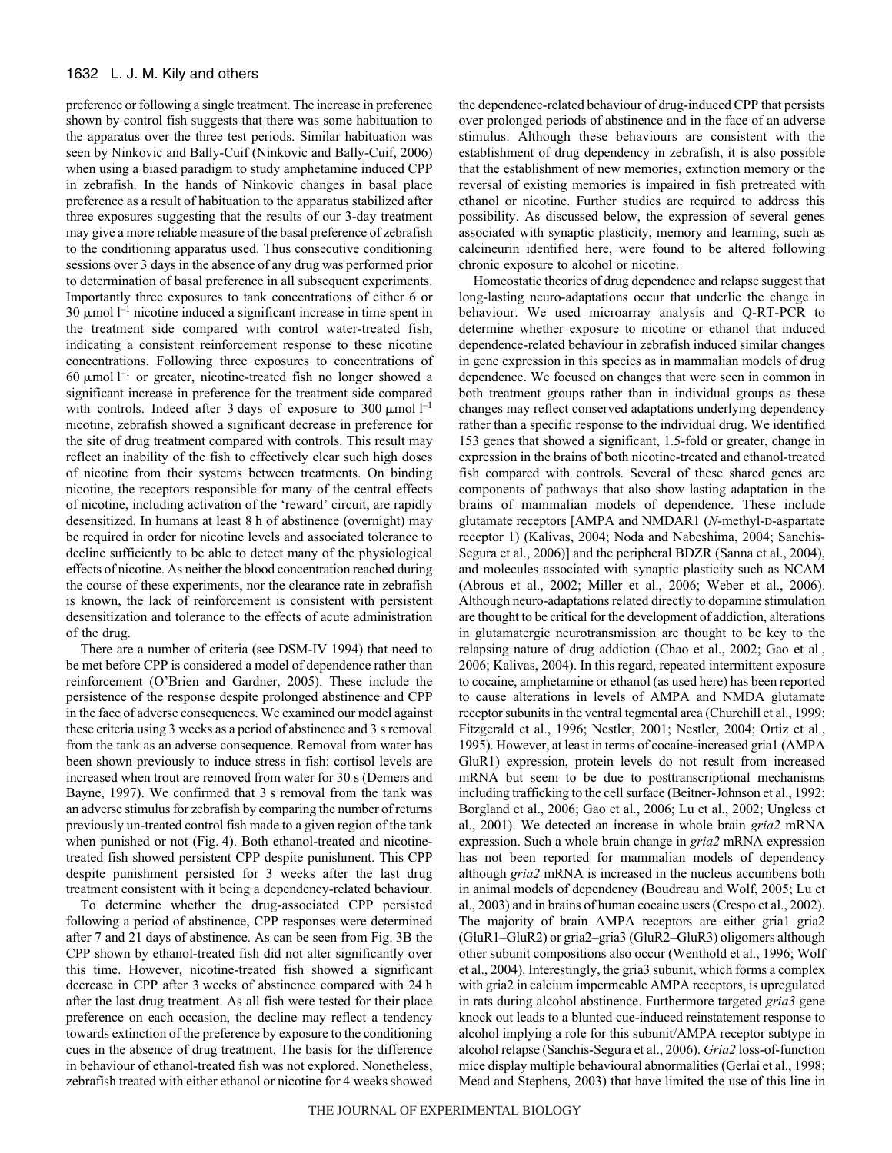# 1632 L. J. M. Kily and others

preference or following a single treatment. The increase in preference shown by control fish suggests that there was some habituation to the apparatus over the three test periods. Similar habituation was seen by Ninkovic and Bally-Cuif (Ninkovic and Bally-Cuif, 2006) when using a biased paradigm to study amphetamine induced CPP in zebrafish. In the hands of Ninkovic changes in basal place preference as a result of habituation to the apparatus stabilized after three exposures suggesting that the results of our 3-day treatment may give a more reliable measure of the basal preference of zebrafish to the conditioning apparatus used. Thus consecutive conditioning sessions over 3 days in the absence of any drug was performed prior to determination of basal preference in all subsequent experiments. Importantly three exposures to tank concentrations of either 6 or 30  $\mu$ mol l<sup>-1</sup> nicotine induced a significant increase in time spent in the treatment side compared with control water-treated fish, indicating a consistent reinforcement response to these nicotine concentrations. Following three exposures to concentrations of 60  $\mu$ mol l<sup>-1</sup> or greater, nicotine-treated fish no longer showed a significant increase in preference for the treatment side compared with controls. Indeed after 3 days of exposure to 300  $\mu$ mol<sup>1-1</sup> nicotine, zebrafish showed a significant decrease in preference for the site of drug treatment compared with controls. This result may reflect an inability of the fish to effectively clear such high doses of nicotine from their systems between treatments. On binding nicotine, the receptors responsible for many of the central effects of nicotine, including activation of the 'reward' circuit, are rapidly desensitized. In humans at least 8 h of abstinence (overnight) may be required in order for nicotine levels and associated tolerance to decline sufficiently to be able to detect many of the physiological effects of nicotine. As neither the blood concentration reached during the course of these experiments, nor the clearance rate in zebrafish is known, the lack of reinforcement is consistent with persistent desensitization and tolerance to the effects of acute administration of the drug.

There are a number of criteria (see DSM-IV 1994) that need to be met before CPP is considered a model of dependence rather than reinforcement (O'Brien and Gardner, 2005). These include the persistence of the response despite prolonged abstinence and CPP in the face of adverse consequences. We examined our model against these criteria using 3 weeks as a period of abstinence and 3 s removal from the tank as an adverse consequence. Removal from water has been shown previously to induce stress in fish: cortisol levels are increased when trout are removed from water for 30 s (Demers and Bayne, 1997). We confirmed that 3 s removal from the tank was an adverse stimulus for zebrafish by comparing the number of returns previously un-treated control fish made to a given region of the tank when punished or not (Fig. 4). Both ethanol-treated and nicotinetreated fish showed persistent CPP despite punishment. This CPP despite punishment persisted for 3 weeks after the last drug treatment consistent with it being a dependency-related behaviour.

To determine whether the drug-associated CPP persisted following a period of abstinence, CPP responses were determined after 7 and 21 days of abstinence. As can be seen from Fig. 3B the CPP shown by ethanol-treated fish did not alter significantly over this time. However, nicotine-treated fish showed a significant decrease in CPP after 3 weeks of abstinence compared with 24 h after the last drug treatment. As all fish were tested for their place preference on each occasion, the decline may reflect a tendency towards extinction of the preference by exposure to the conditioning cues in the absence of drug treatment. The basis for the difference in behaviour of ethanol-treated fish was not explored. Nonetheless, zebrafish treated with either ethanol or nicotine for 4 weeks showed the dependence-related behaviour of drug-induced CPP that persists over prolonged periods of abstinence and in the face of an adverse stimulus. Although these behaviours are consistent with the establishment of drug dependency in zebrafish, it is also possible that the establishment of new memories, extinction memory or the reversal of existing memories is impaired in fish pretreated with ethanol or nicotine. Further studies are required to address this possibility. As discussed below, the expression of several genes associated with synaptic plasticity, memory and learning, such as calcineurin identified here, were found to be altered following chronic exposure to alcohol or nicotine.

Homeostatic theories of drug dependence and relapse suggest that long-lasting neuro-adaptations occur that underlie the change in behaviour. We used microarray analysis and Q-RT-PCR to determine whether exposure to nicotine or ethanol that induced dependence-related behaviour in zebrafish induced similar changes in gene expression in this species as in mammalian models of drug dependence. We focused on changes that were seen in common in both treatment groups rather than in individual groups as these changes may reflect conserved adaptations underlying dependency rather than a specific response to the individual drug. We identified 153 genes that showed a significant, 1.5-fold or greater, change in expression in the brains of both nicotine-treated and ethanol-treated fish compared with controls. Several of these shared genes are components of pathways that also show lasting adaptation in the brains of mammalian models of dependence. These include glutamate receptors [AMPA and NMDAR1 (*N*-methyl-D-aspartate receptor 1) (Kalivas, 2004; Noda and Nabeshima, 2004; Sanchis-Segura et al., 2006)] and the peripheral BDZR (Sanna et al., 2004), and molecules associated with synaptic plasticity such as NCAM (Abrous et al., 2002; Miller et al., 2006; Weber et al., 2006). Although neuro-adaptations related directly to dopamine stimulation are thought to be critical for the development of addiction, alterations in glutamatergic neurotransmission are thought to be key to the relapsing nature of drug addiction (Chao et al., 2002; Gao et al., 2006; Kalivas, 2004). In this regard, repeated intermittent exposure to cocaine, amphetamine or ethanol (as used here) has been reported to cause alterations in levels of AMPA and NMDA glutamate receptor subunits in the ventral tegmental area (Churchill et al., 1999; Fitzgerald et al., 1996; Nestler, 2001; Nestler, 2004; Ortiz et al., 1995). However, at least in terms of cocaine-increased gria1 (AMPA GluR1) expression, protein levels do not result from increased mRNA but seem to be due to posttranscriptional mechanisms including trafficking to the cell surface (Beitner-Johnson et al., 1992; Borgland et al., 2006; Gao et al., 2006; Lu et al., 2002; Ungless et al., 2001). We detected an increase in whole brain *gria2* mRNA expression. Such a whole brain change in *gria2* mRNA expression has not been reported for mammalian models of dependency although *gria2* mRNA is increased in the nucleus accumbens both in animal models of dependency (Boudreau and Wolf, 2005; Lu et al., 2003) and in brains of human cocaine users (Crespo et al., 2002). The majority of brain AMPA receptors are either gria1–gria2 (GluR1–GluR2) or gria2–gria3 (GluR2–GluR3) oligomers although other subunit compositions also occur (Wenthold et al., 1996; Wolf et al., 2004). Interestingly, the gria3 subunit, which forms a complex with gria2 in calcium impermeable AMPA receptors, is upregulated in rats during alcohol abstinence. Furthermore targeted *gria3* gene knock out leads to a blunted cue-induced reinstatement response to alcohol implying a role for this subunit/AMPA receptor subtype in alcohol relapse (Sanchis-Segura et al., 2006). *Gria2* loss-of-function mice display multiple behavioural abnormalities (Gerlai et al., 1998; Mead and Stephens, 2003) that have limited the use of this line in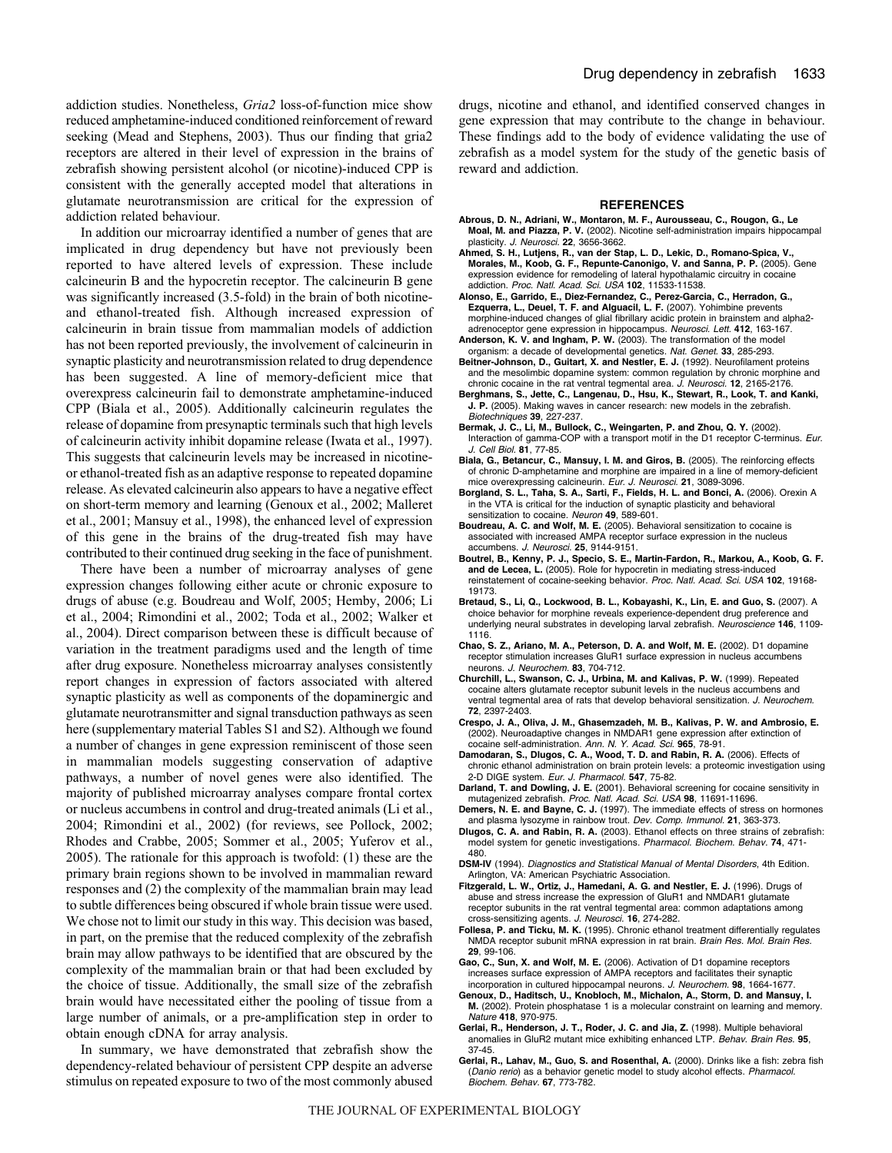addiction studies. Nonetheless, *Gria2* loss-of-function mice show reduced amphetamine-induced conditioned reinforcement of reward seeking (Mead and Stephens, 2003). Thus our finding that gria2 receptors are altered in their level of expression in the brains of zebrafish showing persistent alcohol (or nicotine)-induced CPP is consistent with the generally accepted model that alterations in glutamate neurotransmission are critical for the expression of addiction related behaviour.

In addition our microarray identified a number of genes that are implicated in drug dependency but have not previously been reported to have altered levels of expression. These include calcineurin B and the hypocretin receptor. The calcineurin B gene was significantly increased (3.5-fold) in the brain of both nicotineand ethanol-treated fish. Although increased expression of calcineurin in brain tissue from mammalian models of addiction has not been reported previously, the involvement of calcineurin in synaptic plasticity and neurotransmission related to drug dependence has been suggested. A line of memory-deficient mice that overexpress calcineurin fail to demonstrate amphetamine-induced CPP (Biala et al., 2005). Additionally calcineurin regulates the release of dopamine from presynaptic terminals such that high levels of calcineurin activity inhibit dopamine release (Iwata et al., 1997). This suggests that calcineurin levels may be increased in nicotineor ethanol-treated fish as an adaptive response to repeated dopamine release. As elevated calcineurin also appears to have a negative effect on short-term memory and learning (Genoux et al., 2002; Malleret et al., 2001; Mansuy et al., 1998), the enhanced level of expression of this gene in the brains of the drug-treated fish may have contributed to their continued drug seeking in the face of punishment.

There have been a number of microarray analyses of gene expression changes following either acute or chronic exposure to drugs of abuse (e.g. Boudreau and Wolf, 2005; Hemby, 2006; Li et al., 2004; Rimondini et al., 2002; Toda et al., 2002; Walker et al., 2004). Direct comparison between these is difficult because of variation in the treatment paradigms used and the length of time after drug exposure. Nonetheless microarray analyses consistently report changes in expression of factors associated with altered synaptic plasticity as well as components of the dopaminergic and glutamate neurotransmitter and signal transduction pathways as seen here (supplementary material Tables S1 and S2). Although we found a number of changes in gene expression reminiscent of those seen in mammalian models suggesting conservation of adaptive pathways, a number of novel genes were also identified. The majority of published microarray analyses compare frontal cortex or nucleus accumbens in control and drug-treated animals (Li et al., 2004; Rimondini et al., 2002) (for reviews, see Pollock, 2002; Rhodes and Crabbe, 2005; Sommer et al., 2005; Yuferov et al., 2005). The rationale for this approach is twofold: (1) these are the primary brain regions shown to be involved in mammalian reward responses and (2) the complexity of the mammalian brain may lead to subtle differences being obscured if whole brain tissue were used. We chose not to limit our study in this way. This decision was based, in part, on the premise that the reduced complexity of the zebrafish brain may allow pathways to be identified that are obscured by the complexity of the mammalian brain or that had been excluded by the choice of tissue. Additionally, the small size of the zebrafish brain would have necessitated either the pooling of tissue from a large number of animals, or a pre-amplification step in order to obtain enough cDNA for array analysis.

In summary, we have demonstrated that zebrafish show the dependency-related behaviour of persistent CPP despite an adverse stimulus on repeated exposure to two of the most commonly abused drugs, nicotine and ethanol, and identified conserved changes in gene expression that may contribute to the change in behaviour. These findings add to the body of evidence validating the use of zebrafish as a model system for the study of the genetic basis of reward and addiction.

#### **REFERENCES**

- **Abrous, D. N., Adriani, W., Montaron, M. F., Aurousseau, C., Rougon, G., Le Moal, M. and Piazza, P. V.** (2002). Nicotine self-administration impairs hippocampal plasticity. J. Neurosci. **22**, 3656-3662.
- **Ahmed, S. H., Lutjens, R., van der Stap, L. D., Lekic, D., Romano-Spica, V., Morales, M., Koob, G. F., Repunte-Canonigo, V. and Sanna, P. P.** (2005). Gene expression evidence for remodeling of lateral hypothalamic circuitry in cocaine addiction. Proc. Natl. Acad. Sci. USA **102**, 11533-11538.
- **Alonso, E., Garrido, E., Diez-Fernandez, C., Perez-Garcia, C., Herradon, G., Ezquerra, L., Deuel, T. F. and Alguacil, L. F.** (2007). Yohimbine prevents morphine-induced changes of glial fibrillary acidic protein in brainstem and alpha2 adrenoceptor gene expression in hippocampus. Neurosci. Lett. **412**, 163-167. **Anderson, K. V. and Ingham, P. W.** (2003). The transformation of the model
- organism: a decade of developmental genetics. Nat. Genet. **33**, 285-293.
- **Beitner-Johnson, D., Guitart, X. and Nestler, E. J.** (1992). Neurofilament proteins and the mesolimbic dopamine system: common regulation by chronic morphine and chronic cocaine in the rat ventral tegmental area. J. Neurosci. **12**, 2165-2176.
- **Berghmans, S., Jette, C., Langenau, D., Hsu, K., Stewart, R., Look, T. and Kanki, J. P.** (2005). Making waves in cancer research: new models in the zebrafish. Biotechniques **39**, 227-237.
- **Bermak, J. C., Li, M., Bullock, C., Weingarten, P. and Zhou, Q. Y.** (2002). Interaction of gamma-COP with a transport motif in the D1 receptor C-terminus. Eur. J. Cell Biol. **81**, 77-85.
- **Biala, G., Betancur, C., Mansuy, I. M. and Giros, B.** (2005). The reinforcing effects of chronic D-amphetamine and morphine are impaired in a line of memory-deficient mice overexpressing calcineurin. Eur. J. Neurosci. **21**, 3089-3096.
- **Borgland, S. L., Taha, S. A., Sarti, F., Fields, H. L. and Bonci, A.** (2006). Orexin A in the VTA is critical for the induction of synaptic plasticity and behavioral sensitization to cocaine. Neuron **49**, 589-601.
- **Boudreau, A. C. and Wolf, M. E.** (2005). Behavioral sensitization to cocaine is associated with increased AMPA receptor surface expression in the nucleus accumbens. J. Neurosci. **25**, 9144-9151.
- **Boutrel, B., Kenny, P. J., Specio, S. E., Martin-Fardon, R., Markou, A., Koob, G. F. and de Lecea, L.** (2005). Role for hypocretin in mediating stress-induced reinstatement of cocaine-seeking behavior. Proc. Natl. Acad. Sci. USA **102**, 19168- 19173.
- **Bretaud, S., Li, Q., Lockwood, B. L., Kobayashi, K., Lin, E. and Guo, S.** (2007). A choice behavior for morphine reveals experience-dependent drug preference and underlying neural substrates in developing larval zebrafish. Neuroscience **146**, 1109- 1116.
- **Chao, S. Z., Ariano, M. A., Peterson, D. A. and Wolf, M. E.** (2002). D1 dopamine receptor stimulation increases GluR1 surface expression in nucleus accumbens neurons. J. Neurochem. **83**, 704-712.
- **Churchill, L., Swanson, C. J., Urbina, M. and Kalivas, P. W.** (1999). Repeated cocaine alters glutamate receptor subunit levels in the nucleus accumbens and ventral tegmental area of rats that develop behavioral sensitization. J. Neurochem **72**, 2397-2403.
- **Crespo, J. A., Oliva, J. M., Ghasemzadeh, M. B., Kalivas, P. W. and Ambrosio, E.** (2002). Neuroadaptive changes in NMDAR1 gene expression after extinction of cocaine self-administration. Ann. N. Y. Acad. Sci. **965**, 78-91.
- **Damodaran, S., Dlugos, C. A., Wood, T. D. and Rabin, R. A.** (2006). Effects of chronic ethanol administration on brain protein levels: a proteomic investigation using 2-D DIGE system. Eur. J. Pharmacol. **547**, 75-82.
- **Darland, T. and Dowling, J. E.** (2001). Behavioral screening for cocaine sensitivity in mutagenized zebrafish. Proc. Natl. Acad. Sci. USA **98**, 11691-11696.
- **Demers, N. E. and Bayne, C. J.** (1997). The immediate effects of stress on hormones and plasma lysozyme in rainbow trout. Dev. Comp. Immunol. **21**, 363-373.
- **Dlugos, C. A. and Rabin, R. A.** (2003). Ethanol effects on three strains of zebrafish: model system for genetic investigations. Pharmacol. Biochem. Behav. **74**, 471- 480.
- **DSM-IV** (1994). Diagnostics and Statistical Manual of Mental Disorders, 4th Edition. Arlington, VA: American Psychiatric Association.
- **Fitzgerald, L. W., Ortiz, J., Hamedani, A. G. and Nestler, E. J.** (1996). Drugs of abuse and stress increase the expression of GluR1 and NMDAR1 glutamate receptor subunits in the rat ventral tegmental area: common adaptations among cross-sensitizing agents. J. Neurosci. **16**, 274-282.
- **Follesa, P. and Ticku, M. K.** (1995). Chronic ethanol treatment differentially regulates NMDA receptor subunit mRNA expression in rat brain. Brain Res. Mol. Brain Res. **29**, 99-106.
- **Gao, C., Sun, X. and Wolf, M. E.** (2006). Activation of D1 dopamine receptors increases surface expression of AMPA receptors and facilitates their synaptic incorporation in cultured hippocampal neurons. J. Neurochem. **98**, 1664-1677.
- **Genoux, D., Haditsch, U., Knobloch, M., Michalon, A., Storm, D. and Mansuy, I. M.** (2002). Protein phosphatase 1 is a molecular constraint on learning and memory. Nature **418**, 970-975.
- **Gerlai, R., Henderson, J. T., Roder, J. C. and Jia, Z.** (1998). Multiple behavioral anomalies in GluR2 mutant mice exhibiting enhanced LTP. Behav. Brain Res. **95**, 37-45.
- **Gerlai, R., Lahav, M., Guo, S. and Rosenthal, A.** (2000). Drinks like a fish: zebra fish (Danio rerio) as a behavior genetic model to study alcohol effects. Pharmacol. Biochem. Behav. **67**, 773-782.